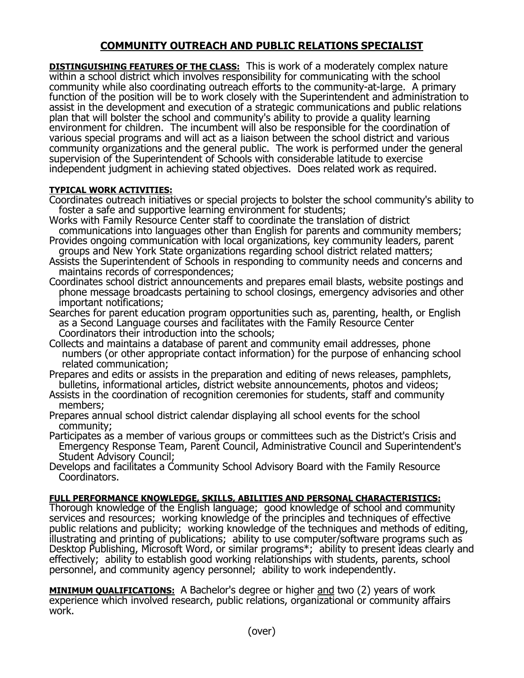## **COMMUNITY OUTREACH AND PUBLIC RELATIONS SPECIALIST**

**DISTINGUISHING FEATURES OF THE CLASS:** This is work of a moderately complex nature within a school district which involves responsibility for communicating with the school community while also coordinating outreach efforts to the community-at-large. A primary function of the position will be to work closely with the Superintendent and administration to assist in the development and execution of a strategic communications and public relations plan that will bolster the school and community's ability to provide a quality learning environment for children. The incumbent will also be responsible for the coordination of various special programs and will act as a liaison between the school district and various community organizations and the general public. The work is performed under the general supervision of the Superintendent of Schools with considerable latitude to exercise independent judgment in achieving stated objectives. Does related work as required.

## **TYPICAL WORK ACTIVITIES:**

- Coordinates outreach initiatives or special projects to bolster the school community's ability to foster a safe and supportive learning environment for students;
- Works with Family Resource Center staff to coordinate the translation of district communications into languages other than English for parents and community members;
- Provides ongoing communication with local organizations, key community leaders, parent groups and New York State organizations regarding school district related matters;
- Assists the Superintendent of Schools in responding to community needs and concerns and maintains records of correspondences;
- Coordinates school district announcements and prepares email blasts, website postings and phone message broadcasts pertaining to school closings, emergency advisories and other important notifications;
- Searches for parent education program opportunities such as, parenting, health, or English as a Second Language courses and facilitates with the Family Resource Center Coordinators their introduction into the schools;
- Collects and maintains a database of parent and community email addresses, phone numbers (or other appropriate contact information) for the purpose of enhancing school related communication;
- Prepares and edits or assists in the preparation and editing of news releases, pamphlets, bulletins, informational articles, district website announcements, photos and videos;
- Assists in the coordination of recognition ceremonies for students, staff and community members;
- Prepares annual school district calendar displaying all school events for the school community;
- Participates as a member of various groups or committees such as the District's Crisis and Emergency Response Team, Parent Council, Administrative Council and Superintendent's Student Advisory Council;
- Develops and facilitates a Community School Advisory Board with the Family Resource Coordinators.

## **FULL PERFORMANCE KNOWLEDGE, SKILLS, ABILITIES AND PERSONAL CHARACTERISTICS:**

Thorough knowledge of the English language; good knowledge of school and community services and resources; working knowledge of the principles and techniques of effective public relations and publicity; working knowledge of the techniques and methods of editing, illustrating and printing of publications; ability to use computer/software programs such as Desktop Publishing, Microsoft Word, or similar programs\*; ability to present ideas clearly and effectively; ability to establish good working relationships with students, parents, school personnel, and community agency personnel; ability to work independently.

**MINIMUM QUALIFICATIONS:** A Bachelor's degree or higher and two (2) years of work experience which involved research, public relations, organizational or community affairs work.